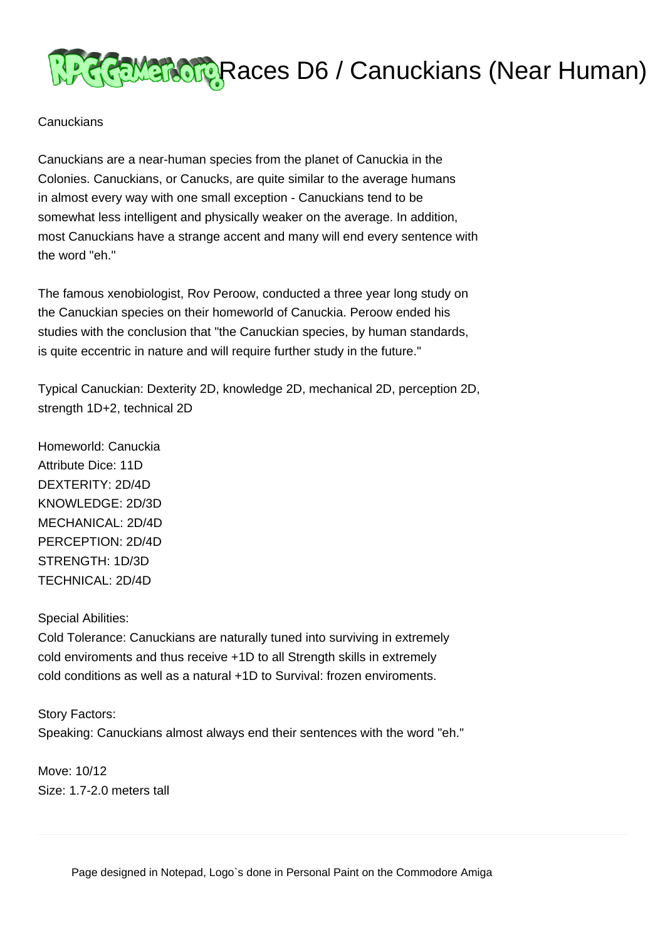

## **Canuckians**

Canuckians are a near-human species from the planet of Canuckia in the Colonies. Canuckians, or Canucks, are quite similar to the average humans in almost every way with one small exception - Canuckians tend to be somewhat less intelligent and physically weaker on the average. In addition, most Canuckians have a strange accent and many will end every sentence with the word "eh."

The famous xenobiologist, Rov Peroow, conducted a three year long study on the Canuckian species on their homeworld of Canuckia. Peroow ended his studies with the conclusion that "the Canuckian species, by human standards, is quite eccentric in nature and will require further study in the future."

Typical Canuckian: Dexterity 2D, knowledge 2D, mechanical 2D, perception 2D, strength 1D+2, technical 2D

Homeworld: Canuckia Attribute Dice: 11D DEXTERITY: 2D/4D KNOWLEDGE: 2D/3D MECHANICAL: 2D/4D PERCEPTION: 2D/4D STRENGTH: 1D/3D TECHNICAL: 2D/4D

Special Abilities:

Cold Tolerance: Canuckians are naturally tuned into surviving in extremely cold enviroments and thus receive +1D to all Strength skills in extremely cold conditions as well as a natural +1D to Survival: frozen enviroments.

Story Factors: Speaking: Canuckians almost always end their sentences with the word "eh."

Move: 10/12 Size: 1.7-2.0 meters tall